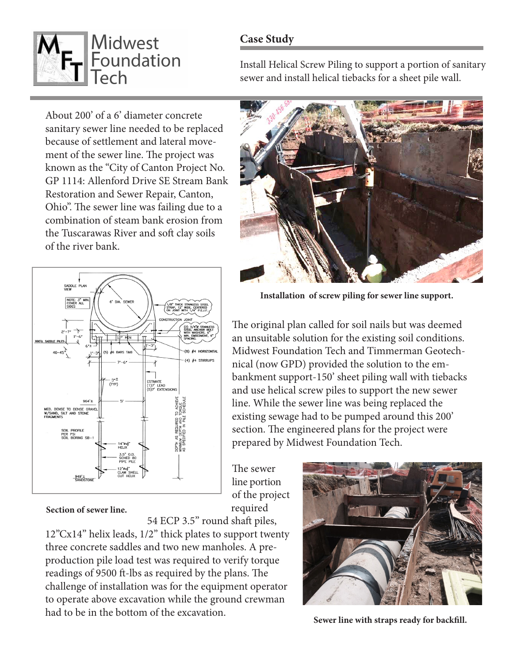## **Case Study**



Install Helical Screw Piling to support a portion of sanitary sewer and install helical tiebacks for a sheet pile wall.

About 200' of a 6' diameter concrete sanitary sewer line needed to be replaced because of settlement and lateral movement of the sewer line. The project was known as the "City of Canton Project No. GP 1114: Allenford Drive SE Stream Bank Restoration and Sewer Repair, Canton, Ohio". The sewer line was failing due to a combination of steam bank erosion from the Tuscarawas River and soft clay soils of the river bank.





**Installation of screw piling for sewer line support.**

The original plan called for soil nails but was deemed an unsuitable solution for the existing soil conditions. Midwest Foundation Tech and Timmerman Geotechnical (now GPD) provided the solution to the embankment support-150' sheet piling wall with tiebacks and use helical screw piles to support the new sewer line. While the sewer line was being replaced the existing sewage had to be pumped around this 200' section. The engineered plans for the project were prepared by Midwest Foundation Tech.

The sewer line portion of the project required

**Section of sewer line.** 

54 ECP 3.5" round shaft piles,

12"Cx14" helix leads, 1/2" thick plates to support twenty three concrete saddles and two new manholes. A preproduction pile load test was required to verify torque readings of 9500 ft-lbs as required by the plans. The challenge of installation was for the equipment operator to operate above excavation while the ground crewman had to be in the bottom of the excavation.



**Sewer line with straps ready for backfill.**